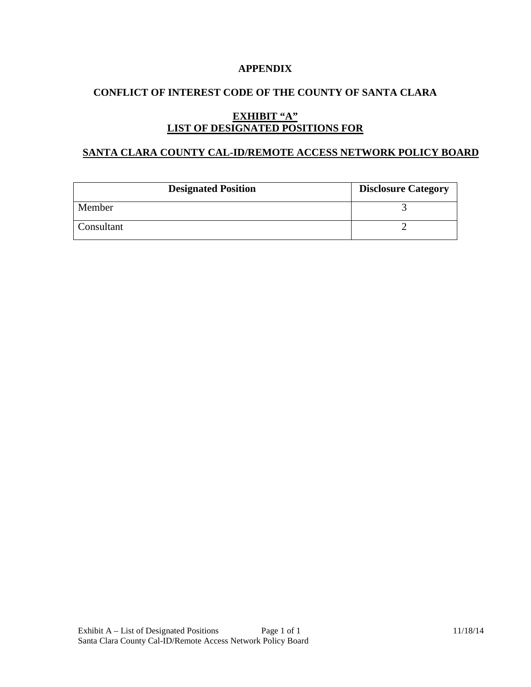### **APPENDIX**

## **CONFLICT OF INTEREST CODE OF THE COUNTY OF SANTA CLARA**

# **EXHIBIT "A" LIST OF DESIGNATED POSITIONS FOR**

### **SANTA CLARA COUNTY CAL-ID/REMOTE ACCESS NETWORK POLICY BOARD**

| <b>Designated Position</b> | <b>Disclosure Category</b> |
|----------------------------|----------------------------|
| Member                     |                            |
| Consultant                 |                            |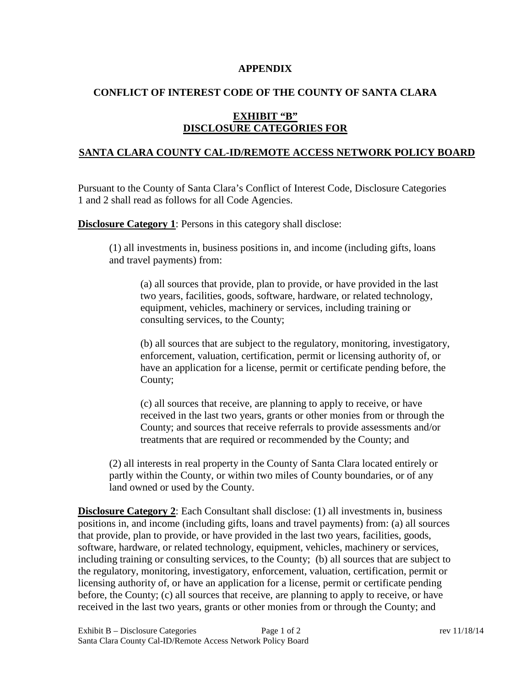#### **APPENDIX**

## **CONFLICT OF INTEREST CODE OF THE COUNTY OF SANTA CLARA**

## **EXHIBIT "B" DISCLOSURE CATEGORIES FOR**

#### **SANTA CLARA COUNTY CAL-ID/REMOTE ACCESS NETWORK POLICY BOARD**

Pursuant to the County of Santa Clara's Conflict of Interest Code, Disclosure Categories 1 and 2 shall read as follows for all Code Agencies.

**Disclosure Category 1:** Persons in this category shall disclose:

(1) all investments in, business positions in, and income (including gifts, loans and travel payments) from:

(a) all sources that provide, plan to provide, or have provided in the last two years, facilities, goods, software, hardware, or related technology, equipment, vehicles, machinery or services, including training or consulting services, to the County;

(b) all sources that are subject to the regulatory, monitoring, investigatory, enforcement, valuation, certification, permit or licensing authority of, or have an application for a license, permit or certificate pending before, the County;

(c) all sources that receive, are planning to apply to receive, or have received in the last two years, grants or other monies from or through the County; and sources that receive referrals to provide assessments and/or treatments that are required or recommended by the County; and

(2) all interests in real property in the County of Santa Clara located entirely or partly within the County, or within two miles of County boundaries, or of any land owned or used by the County.

**Disclosure Category 2**: Each Consultant shall disclose: (1) all investments in, business positions in, and income (including gifts, loans and travel payments) from: (a) all sources that provide, plan to provide, or have provided in the last two years, facilities, goods, software, hardware, or related technology, equipment, vehicles, machinery or services, including training or consulting services, to the County; (b) all sources that are subject to the regulatory, monitoring, investigatory, enforcement, valuation, certification, permit or licensing authority of, or have an application for a license, permit or certificate pending before, the County; (c) all sources that receive, are planning to apply to receive, or have received in the last two years, grants or other monies from or through the County; and